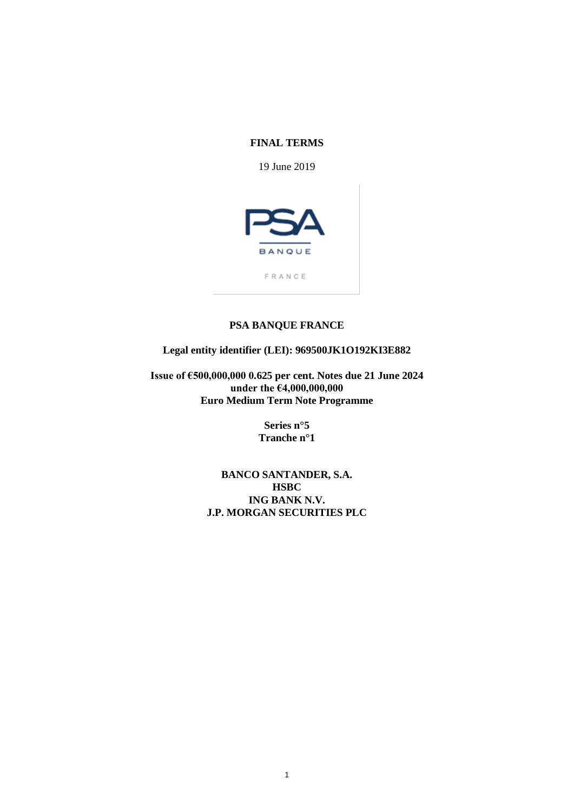### **FINAL TERMS**

19 June 2019



FRANCE

## **PSA BANQUE FRANCE**

## **Legal entity identifier (LEI): 969500JK1O192KI3E882**

**Issue of €500,000,000 0.625 per cent. Notes due 21 June 2024 under the €4,000,000,000 Euro Medium Term Note Programme**

> **Series n°5 Tranche n°1**

**BANCO SANTANDER, S.A. HSBC ING BANK N.V. J.P. MORGAN SECURITIES PLC**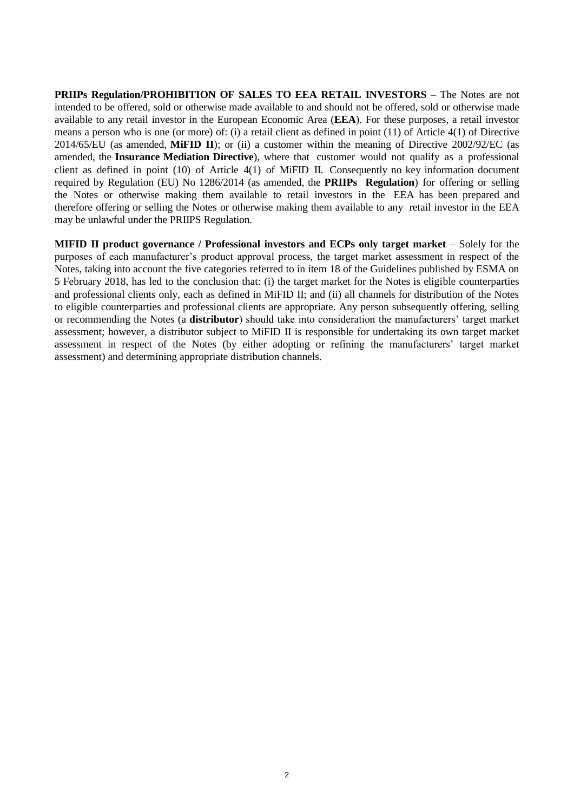**PRIIPs Regulation/PROHIBITION OF SALES TO EEA RETAIL INVESTORS** – The Notes are not intended to be offered, sold or otherwise made available to and should not be offered, sold or otherwise made available to any retail investor in the European Economic Area (**EEA**). For these purposes, a retail investor means a person who is one (or more) of: (i) a retail client as defined in point (11) of Article 4(1) of Directive 2014/65/EU (as amended, **MiFID II**); or (ii) a customer within the meaning of Directive 2002/92/EC (as amended, the **Insurance Mediation Directive**), where that customer would not qualify as a professional client as defined in point (10) of Article 4(1) of MiFID II. Consequently no key information document required by Regulation (EU) No 1286/2014 (as amended, the **PRIIPs Regulation**) for offering or selling the Notes or otherwise making them available to retail investors in the EEA has been prepared and therefore offering or selling the Notes or otherwise making them available to any retail investor in the EEA may be unlawful under the PRIIPS Regulation.

**MIFID II product governance / Professional investors and ECPs only target market** – Solely for the purposes of each manufacturer's product approval process, the target market assessment in respect of the Notes, taking into account the five categories referred to in item 18 of the Guidelines published by ESMA on 5 February 2018, has led to the conclusion that: (i) the target market for the Notes is eligible counterparties and professional clients only, each as defined in MiFID II; and (ii) all channels for distribution of the Notes to eligible counterparties and professional clients are appropriate. Any person subsequently offering, selling or recommending the Notes (a **distributor**) should take into consideration the manufacturers' target market assessment; however, a distributor subject to MiFID II is responsible for undertaking its own target market assessment in respect of the Notes (by either adopting or refining the manufacturers' target market assessment) and determining appropriate distribution channels.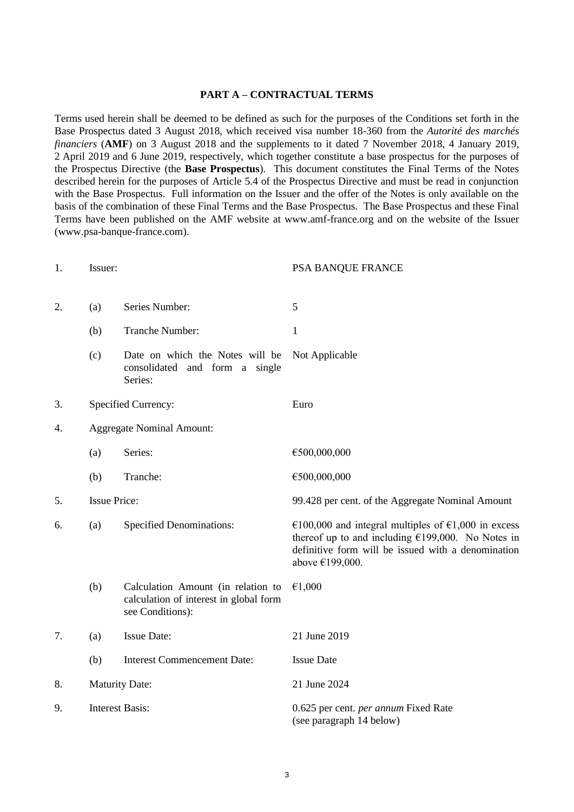#### **PART A – CONTRACTUAL TERMS**

Terms used herein shall be deemed to be defined as such for the purposes of the Conditions set forth in the Base Prospectus dated 3 August 2018, which received visa number 18-360 from the *Autorité des marchés financiers* (**AMF**) on 3 August 2018 and the supplements to it dated 7 November 2018, 4 January 2019, 2 April 2019 and 6 June 2019, respectively, which together constitute a base prospectus for the purposes of the Prospectus Directive (the **Base Prospectus**). This document constitutes the Final Terms of the Notes described herein for the purposes of Article 5.4 of the Prospectus Directive and must be read in conjunction with the Base Prospectus. Full information on the Issuer and the offer of the Notes is only available on the basis of the combination of these Final Terms and the Base Prospectus. The Base Prospectus and these Final Terms have been published on the AMF website at www.amf-france.org and on the website of the Issuer (www.psa-banque-france.com).

| 1. | Issuer:                                |                                                                                                  | PSA BANQUE FRANCE                                                                                                                                                                    |
|----|----------------------------------------|--------------------------------------------------------------------------------------------------|--------------------------------------------------------------------------------------------------------------------------------------------------------------------------------------|
| 2. | Series Number:<br>(a)                  |                                                                                                  | 5                                                                                                                                                                                    |
|    | (b)                                    | Tranche Number:                                                                                  | $\mathbf{1}$                                                                                                                                                                         |
|    | (c)                                    | Date on which the Notes will be<br>consolidated and form a single<br>Series:                     | Not Applicable                                                                                                                                                                       |
| 3. |                                        | Specified Currency:                                                                              | Euro                                                                                                                                                                                 |
| 4. | <b>Aggregate Nominal Amount:</b>       |                                                                                                  |                                                                                                                                                                                      |
|    | (a)                                    | Series:                                                                                          | €500,000,000                                                                                                                                                                         |
|    | (b)                                    | Tranche:                                                                                         | €500,000,000                                                                                                                                                                         |
| 5. | <b>Issue Price:</b>                    |                                                                                                  | 99.428 per cent. of the Aggregate Nominal Amount                                                                                                                                     |
| 6. | <b>Specified Denominations:</b><br>(a) |                                                                                                  | €100,000 and integral multiples of €1,000 in excess<br>thereof up to and including $£199,000$ . No Notes in<br>definitive form will be issued with a denomination<br>above €199,000. |
|    | (b)                                    | Calculation Amount (in relation to<br>calculation of interest in global form<br>see Conditions): | €1,000                                                                                                                                                                               |
| 7. | (a)                                    | <b>Issue Date:</b>                                                                               | 21 June 2019                                                                                                                                                                         |
|    | (b)                                    | <b>Interest Commencement Date:</b>                                                               | <b>Issue Date</b>                                                                                                                                                                    |
| 8. | <b>Maturity Date:</b>                  |                                                                                                  | 21 June 2024                                                                                                                                                                         |
| 9. | <b>Interest Basis:</b>                 |                                                                                                  | 0.625 per cent. per annum Fixed Rate<br>(see paragraph 14 below)                                                                                                                     |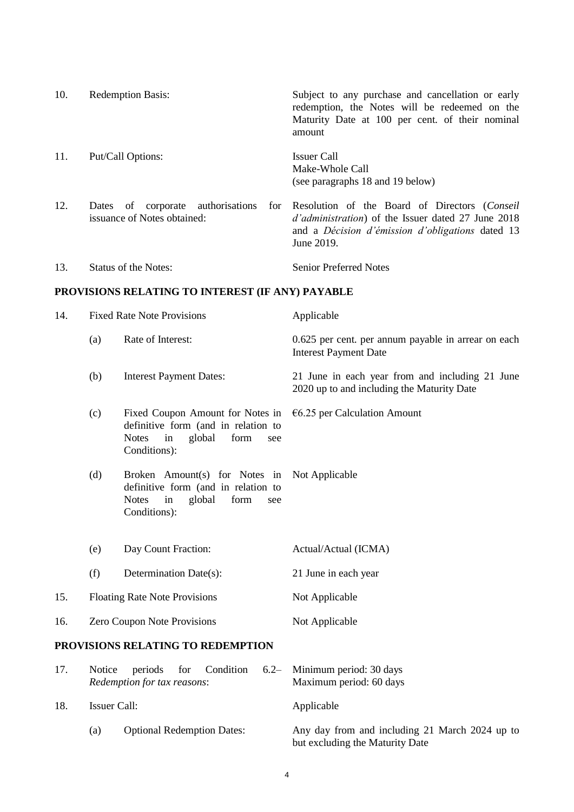| 10. | <b>Redemption Basis:</b>                                            | Subject to any purchase and cancellation or early<br>redemption, the Notes will be redeemed on the<br>Maturity Date at 100 per cent. of their nominal<br>amount                          |
|-----|---------------------------------------------------------------------|------------------------------------------------------------------------------------------------------------------------------------------------------------------------------------------|
| 11. | Put/Call Options:                                                   | <b>Issuer Call</b><br>Make-Whole Call<br>(see paragraphs 18 and 19 below)                                                                                                                |
| 12. | corporate authorisations<br>Dates of<br>issuance of Notes obtained: | for Resolution of the Board of Directors (Conseil<br><i>d'administration</i> ) of the Issuer dated 27 June 2018<br>and a <i>Décision d'émission d'obligations</i> dated 13<br>June 2019. |
| 13. | Status of the Notes:                                                | <b>Senior Preferred Notes</b>                                                                                                                                                            |

# **PROVISIONS RELATING TO INTEREST (IF ANY) PAYABLE**

| 14. |                                                                                                                                                                                         | <b>Fixed Rate Note Provisions</b>                                                                                                      | Applicable                                                                                    |
|-----|-----------------------------------------------------------------------------------------------------------------------------------------------------------------------------------------|----------------------------------------------------------------------------------------------------------------------------------------|-----------------------------------------------------------------------------------------------|
|     | (a)                                                                                                                                                                                     | Rate of Interest:                                                                                                                      | 0.625 per cent. per annum payable in arrear on each<br><b>Interest Payment Date</b>           |
|     | (b)<br><b>Interest Payment Dates:</b>                                                                                                                                                   |                                                                                                                                        | 21 June in each year from and including 21 June<br>2020 up to and including the Maturity Date |
|     | (c)                                                                                                                                                                                     | Fixed Coupon Amount for Notes in<br>definitive form (and in relation to<br><b>Notes</b><br>in<br>global<br>form<br>see<br>Conditions): | $6.25$ per Calculation Amount                                                                 |
|     | (d)<br>Broken Amount(s) for Notes in Not Applicable<br>definitive form (and in relation to<br><b>Notes</b><br>global<br>form<br>in<br>see<br>Conditions):<br>Day Count Fraction:<br>(e) |                                                                                                                                        |                                                                                               |
|     |                                                                                                                                                                                         |                                                                                                                                        | Actual/Actual (ICMA)                                                                          |
|     | (f)                                                                                                                                                                                     | Determination Date(s):                                                                                                                 | 21 June in each year                                                                          |
| 15. | <b>Floating Rate Note Provisions</b>                                                                                                                                                    |                                                                                                                                        | Not Applicable                                                                                |
| 16. | Zero Coupon Note Provisions                                                                                                                                                             |                                                                                                                                        | Not Applicable                                                                                |
|     |                                                                                                                                                                                         | PROVISIONS RELATING TO REDEMPTION                                                                                                      |                                                                                               |
| 17  |                                                                                                                                                                                         | Notice periods for Condition 6.2 Minimum period: 30 days                                                                               |                                                                                               |

| $\frac{1}{2}$ | <b>NOLICE</b> | $perious$ for Condition $O(Z)$ Minimum period: 50 days<br>Redemption for tax reasons: | Maximum period: 60 days                                                           |
|---------------|---------------|---------------------------------------------------------------------------------------|-----------------------------------------------------------------------------------|
| 18.           | Issuer Call:  |                                                                                       | Applicable                                                                        |
|               | (a)           | <b>Optional Redemption Dates:</b>                                                     | Any day from and including 21 March 2024 up to<br>but excluding the Maturity Date |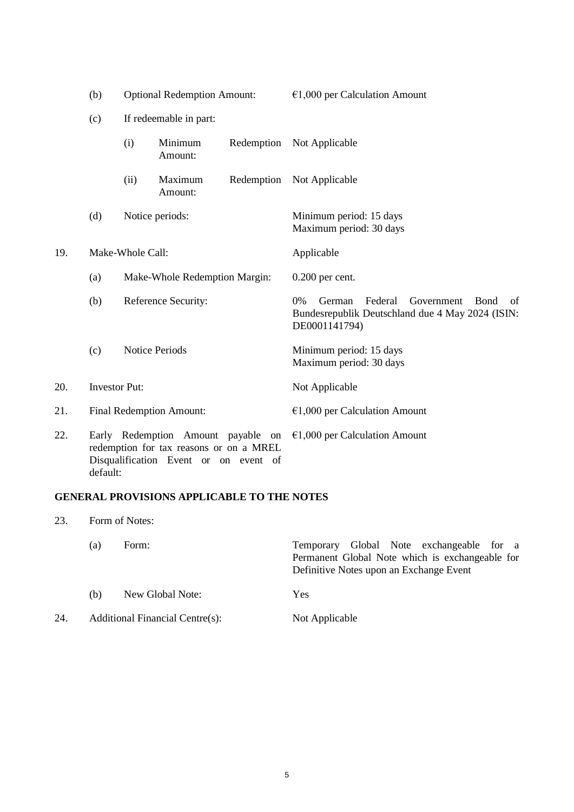|     | (b)<br><b>Optional Redemption Amount:</b> |                                                                                                                        |                        | $€1,000$ per Calculation Amount |                                                                                                                                     |
|-----|-------------------------------------------|------------------------------------------------------------------------------------------------------------------------|------------------------|---------------------------------|-------------------------------------------------------------------------------------------------------------------------------------|
|     | (c)                                       |                                                                                                                        | If redeemable in part: |                                 |                                                                                                                                     |
|     |                                           | (i)                                                                                                                    | Minimum<br>Amount:     | Redemption                      | Not Applicable                                                                                                                      |
|     |                                           | (ii)                                                                                                                   | Maximum<br>Amount:     | Redemption                      | Not Applicable                                                                                                                      |
|     | (d)                                       |                                                                                                                        | Notice periods:        |                                 | Minimum period: 15 days<br>Maximum period: 30 days                                                                                  |
| 19. |                                           | Make-Whole Call:                                                                                                       |                        |                                 | Applicable                                                                                                                          |
|     | (a)                                       | Make-Whole Redemption Margin:                                                                                          |                        |                                 | $0.200$ per cent.                                                                                                                   |
|     | (b)                                       |                                                                                                                        | Reference Security:    |                                 | $0\%$<br>Federal<br>Government<br>German<br><b>B</b> ond<br>of<br>Bundesrepublik Deutschland due 4 May 2024 (ISIN:<br>DE0001141794) |
|     | (c)                                       |                                                                                                                        | <b>Notice Periods</b>  |                                 | Minimum period: 15 days<br>Maximum period: 30 days                                                                                  |
| 20. |                                           | <b>Investor Put:</b>                                                                                                   |                        |                                 | Not Applicable                                                                                                                      |
| 21. |                                           | <b>Final Redemption Amount:</b>                                                                                        |                        |                                 | $€1,000$ per Calculation Amount                                                                                                     |
| 22. | default:                                  | Early Redemption Amount payable on<br>redemption for tax reasons or on a MREL<br>Disqualification Event or on event of |                        |                                 | $€1,000$ per Calculation Amount                                                                                                     |

## **GENERAL PROVISIONS APPLICABLE TO THE NOTES**

23. Form of Notes:

|     | (a) | Form:                                  | Temporary Global Note exchangeable for a        |
|-----|-----|----------------------------------------|-------------------------------------------------|
|     |     |                                        | Permanent Global Note which is exchangeable for |
|     |     |                                        | Definitive Notes upon an Exchange Event         |
|     | (b) | New Global Note:                       | <b>Yes</b>                                      |
| 24. |     | <b>Additional Financial Centre(s):</b> | Not Applicable                                  |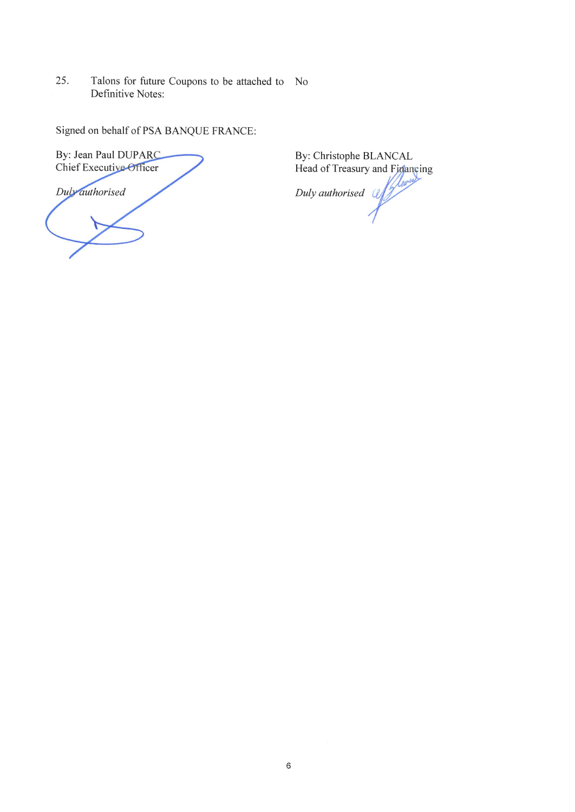Talons for future Coupons to be attached to No 25. Definitive Notes:

Signed on behalf of PSA BANQUE FRANCE:

By: Jean Paul DUPARC<br>Chief Executive Officer Duly authorised

By: Christophe BLANCAL<br>Head of Treasury and Financing Duly authorised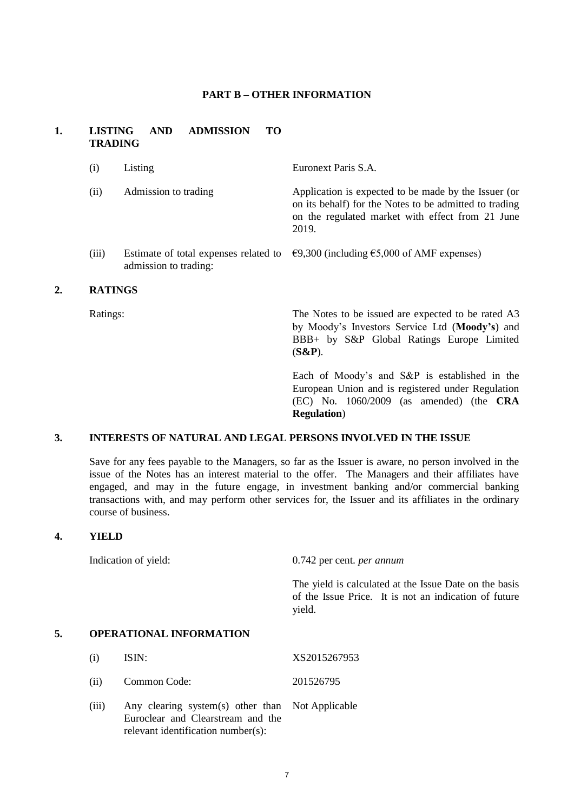#### **PART B – OTHER INFORMATION**

### **1. LISTING AND ADMISSION TO TRADING**

| (i)   | Listing               | Euronext Paris S.A.                                                                                                                                                         |
|-------|-----------------------|-----------------------------------------------------------------------------------------------------------------------------------------------------------------------------|
| (ii)  | Admission to trading  | Application is expected to be made by the Issuer (or<br>on its behalf) for the Notes to be admitted to trading<br>on the regulated market with effect from 21 June<br>2019. |
| (iii) | admission to trading: | Estimate of total expenses related to $\epsilon$ 9,300 (including $\epsilon$ 5,000 of AMF expenses)                                                                         |

## **2. RATINGS**

Ratings: The Notes to be issued are expected to be rated A3 by Moody's Investors Service Ltd (**Moody's**) and BBB+ by S&P Global Ratings Europe Limited (**S&P**).

> Each of Moody's and S&P is established in the European Union and is registered under Regulation (EC) No. 1060/2009 (as amended) (the **CRA Regulation**)

### **3. INTERESTS OF NATURAL AND LEGAL PERSONS INVOLVED IN THE ISSUE**

Save for any fees payable to the Managers, so far as the Issuer is aware, no person involved in the issue of the Notes has an interest material to the offer. The Managers and their affiliates have engaged, and may in the future engage, in investment banking and/or commercial banking transactions with, and may perform other services for, the Issuer and its affiliates in the ordinary course of business.

## **4. YIELD**

Indication of yield: 0.742 per cent. *per annum*

The yield is calculated at the Issue Date on the basis of the Issue Price. It is not an indication of future yield.

## **5. OPERATIONAL INFORMATION**

(i) ISIN: XS2015267953

(ii) Common Code: 201526795

(iii) Any clearing system(s) other than Euroclear and Clearstream and the relevant identification number(s): Not Applicable